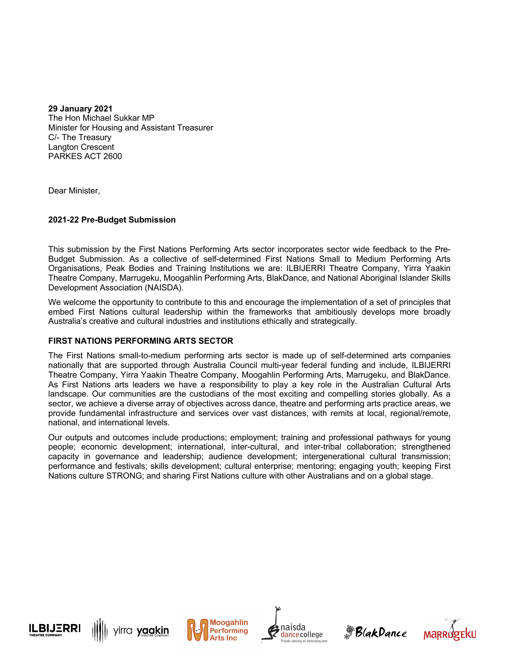**29 January 2021** The Hon Michael Sukkar MP Minister for Housing and Assistant Treasurer C/- The Treasury Langton Crescent PARKES ACT 2600

Dear Minister,

## **2021-22 Pre-Budget Submission**

This submission by the First Nations Performing Arts sector incorporates sector wide feedback to the Pre-Budget Submission. As a collective of self-determined First Nations Small to Medium Performing Arts Organisations, Peak Bodies and Training Institutions we are: ILBIJERRI Theatre Company, Yirra Yaakin Theatre Company, Marrugeku, Moogahlin Performing Arts, BlakDance, and National Aboriginal Islander Skills Development Association (NAISDA).

We welcome the opportunity to contribute to this and encourage the implementation of a set of principles that embed First Nations cultural leadership within the frameworks that ambitiously develops more broadly Australia's creative and cultural industries and institutions ethically and strategically.

## **FIRST NATIONS PERFORMING ARTS SECTOR**

The First Nations small-to-medium performing arts sector is made up of self-determined arts companies nationally that are supported through Australia Council multi-year federal funding and include, ILBIJERRI Theatre Company, Yirra Yaakin Theatre Company, Moogahlin Performing Arts, Marrugeku, and BlakDance. As First Nations arts leaders we have a responsibility to play a key role in the Australian Cultural Arts landscape. Our communities are the custodians of the most exciting and compelling stories globally. As a sector, we achieve a diverse array of objectives across dance, theatre and performing arts practice areas, we provide fundamental infrastructure and services over vast distances, with remits at local, regional/remote, national, and international levels.

Our outputs and outcomes include productions; employment; training and professional pathways for young people; economic development; international, inter-cultural, and inter-tribal collaboration; strengthened capacity in governance and leadership; audience development; intergenerational cultural transmission; performance and festivals; skills development; cultural enterprise; mentoring; engaging youth; keeping First Nations culture STRONG; and sharing First Nations culture with other Australians and on a global stage.











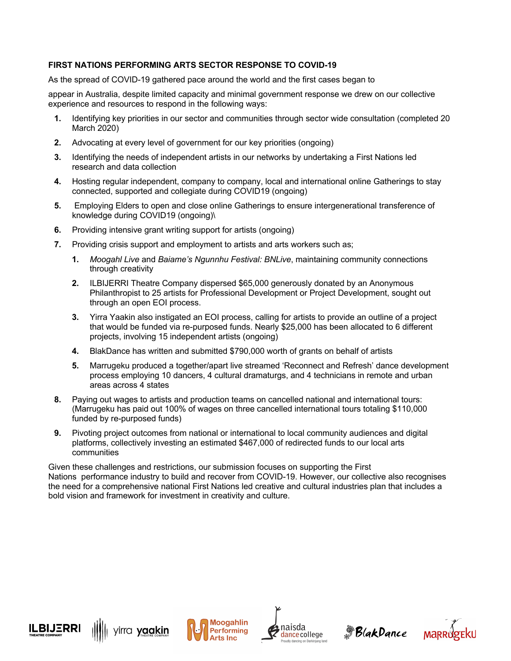## **FIRST NATIONS PERFORMING ARTS SECTOR RESPONSE TO COVID-19**

As the spread of COVID-19 gathered pace around the world and the first cases began to

appear in Australia, despite limited capacity and minimal government response we drew on our collective experience and resources to respond in the following ways:

- **1.** Identifying key priorities in our sector and communities through sector wide consultation (completed 20 March 2020)
- **2.** Advocating at every level of government for our key priorities (ongoing)
- **3.** Identifying the needs of independent artists in our networks by undertaking a First Nations led research and data collection
- **4.** Hosting regular independent, company to company, local and international online Gatherings to stay connected, supported and collegiate during COVID19 (ongoing)
- **5.** Employing Elders to open and close online Gatherings to ensure intergenerational transference of knowledge during COVID19 (ongoing)\
- **6.** Providing intensive grant writing support for artists (ongoing)
- **7.** Providing crisis support and employment to artists and arts workers such as;
	- **1.** *Moogahl Live* and *Baiame's Ngunnhu Festival: BNLive*, maintaining community connections through creativity
	- **2.** ILBIJERRI Theatre Company dispersed \$65,000 generously donated by an Anonymous Philanthropist to 25 artists for Professional Development or Project Development, sought out through an open EOI process.
	- **3.** Yirra Yaakin also instigated an EOI process, calling for artists to provide an outline of a project that would be funded via re-purposed funds. Nearly \$25,000 has been allocated to 6 different projects, involving 15 independent artists (ongoing)
	- **4.** BlakDance has written and submitted \$790,000 worth of grants on behalf of artists
	- **5.** Marrugeku produced a together/apart live streamed 'Reconnect and Refresh' dance development process employing 10 dancers, 4 cultural dramaturgs, and 4 technicians in remote and urban areas across 4 states
- **8.** Paying out wages to artists and production teams on cancelled national and international tours: (Marrugeku has paid out 100% of wages on three cancelled international tours totaling \$110,000 funded by re-purposed funds)
- **9.** Pivoting project outcomes from national or international to local community audiences and digital platforms, collectively investing an estimated \$467,000 of redirected funds to our local arts communities

Given these challenges and restrictions, our submission focuses on supporting the First Nations performance industry to build and recover from COVID-19. However, our collective also recognises the need for a comprehensive national First Nations led creative and cultural industries plan that includes a bold vision and framework for investment in creativity and culture.